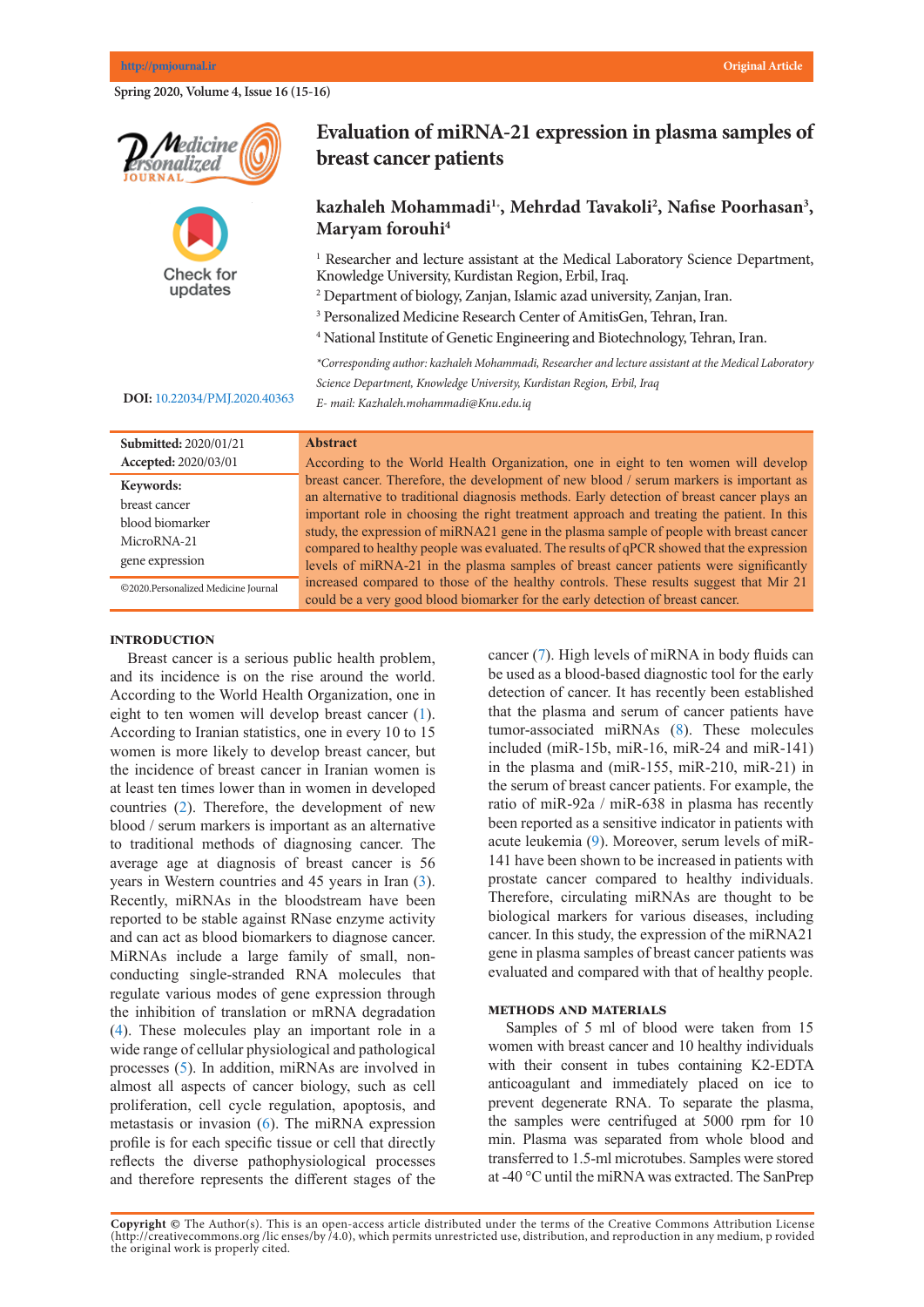Spring 2020, Volume 4, Issue 16 (15-16)





# **Evaluation of miRNA-21 expression in plasma samples of breast cancer patients**

## kazhaleh Mohammadi<sup>1</sup><sup>\*</sup>, Mehrdad Tavakoli<sup>2</sup>, Nafise Poorhasan<sup>3</sup>, **Maryam forouhi4**

<sup>1</sup> Researcher and lecture assistant at the Medical Laboratory Science Department, *\*Corresponding author: Mohammad Ali Saremi, Personalized Medicine Research*  Knowledge University, Kurdistan Region, Erbil, Iraq.

<sup>2</sup> Department of biology, Zanjan, Islamic azad university, Zanjan, Iran.

- 3 Personalized Medicine Research Center of AmitisGen, Tehran, Iran.
- 4 National Institute of Genetic Engineering and Biotechnology, Tehran, Iran.

**Abstract** *\*Corresponding author: kazhaleh Mohammadi, Researcher and lecture assistant at the Medical Laboratory*   $\mathbb{R}^n$   $\mathbb{R}^n$  is the definition of  $\mathbb{R}^n$  is the variant  $\mathbb{R}^n$  is the variant majority (85%)  $\mathbb{R}^n$  is the variant majority (85%)  $\mathbb{R}^n$  is the variant majority (85%)  $\mathbb{R}^n$  is the variant maj of cases of lung cancer are due to long-term tobacco smoking. About 10–15% of cases *Science Department, Knowledge University, Kurdistan Region, Erbil, Iraq* occur in people who have never smoked. These cases are often caused by a *E- mail: Kazhaleh.mohammadi@Knu.edu.iq* 

### **Keywords: DOI:** [10.22034/PMJ.2020.40363](http://10.22034/PMJ.2020.40363)

| Submitted: 2020/01/21                                                           | Abstract                                                                                                                                                                                                                                                                                                                                                                                                                                                                                                                                                          |  |
|---------------------------------------------------------------------------------|-------------------------------------------------------------------------------------------------------------------------------------------------------------------------------------------------------------------------------------------------------------------------------------------------------------------------------------------------------------------------------------------------------------------------------------------------------------------------------------------------------------------------------------------------------------------|--|
| Accepted: 2020/03/01                                                            | According to the World Health Organization, one in eight to ten women will develop                                                                                                                                                                                                                                                                                                                                                                                                                                                                                |  |
| Keywords:<br>breast cancer<br>blood biomarker<br>MicroRNA-21<br>gene expression | breast cancer. Therefore, the development of new blood / serum markers is important as<br>an alternative to traditional diagnosis methods. Early detection of breast cancer plays an<br>important role in choosing the right treatment approach and treating the patient. In this<br>study, the expression of miRNA21 gene in the plasma sample of people with breast cancer<br>compared to healthy people was evaluated. The results of qPCR showed that the expression<br>levels of miRNA-21 in the plasma samples of breast cancer patients were significantly |  |
| ©2020.Personalized Medicine Journal                                             | increased compared to those of the healthy controls. These results suggest that Mir 21<br>could be a very good blood biomarker for the early detection of breast cancer.                                                                                                                                                                                                                                                                                                                                                                                          |  |
|                                                                                 |                                                                                                                                                                                                                                                                                                                                                                                                                                                                                                                                                                   |  |

### **INTRODUCTION**

Breast cancer is a serious public health problem, and its incidence is on the rise around the world. According to the World Health Organization, one in eight to ten women will develop breast cancer ([1\)](#page-1-0). According to Iranian statistics, one in every 10 to 15 women is more likely to develop breast cancer, but the incidence of breast cancer in Iranian women is at least ten times lower than in women in developed countries ([2\)](#page-1-1). Therefore, the development of new blood / serum markers is important as an alternative to traditional methods of diagnosing cancer. The average age at diagnosis of breast cancer is  $56$ years in Western countries and  $45$  years in Iran  $(3)$  $(3)$ . Recently, miRNAs in the bloodstream have been reported to be stable against RNase enzyme activity and can act as blood biomarkers to diagnose cancer. MiRNAs include a large family of small, nonconducting single-stranded RNA molecules that regulate various modes of gene expression through the inhibition of translation or mRNA degradation  $(4)$  $(4)$ . These molecules play an important role in a wide range of cellular physiological and pathological processes  $(5)$  $(5)$ . In addition, miRNAs are involved in almost all aspects of cancer biology, such as cell proliferation, cell cycle regulation, apoptosis, and metastasis or invasion  $(6)$  $(6)$ . The miRNA expression profile is for each specific tissue or cell that directly reflects the diverse pathophysiological processes and therefore represents the different stages of the

cancer ([7](#page-1-6)). High levels of miRNA in body fluids can be used as a blood-based diagnostic tool for the early detection of cancer. It has recently been established that the plasma and serum of cancer patients have tumor-associated miRNAs [\(8](#page-1-7)). These molecules included (miR-15b, miR-16, miR-24 and miR-141) in the plasma and (miR-155, miR-210, miR-21) in  $\frac{m}{2}$ the serum of breast cancer patients. For example, the serum of breast cancer patients. For example, the ratio of miR-92a / miR-638 in plasma has recently been reported as a sensitive indicator in patients with acute leukemia [\(9](#page-1-8)). Moreover, serum levels of miR-141 have been shown to be increased in patients with  $\frac{141}{\pi}$ prostate cancer compared to healthy individuals. prostate earlier compared to heatily murviduals.<br>Therefore, circulating miRNAs are thought to be biological markers for various diseases, including biological markers for various diseases, including cancer. In this study, the expression of the miRNA21  $\sim$ gene in plasma samples of breast cancer patients was gene in plasma samples of order tancer partents was evaluated and compared with that of healthy people.  $\frac{1}{2}$  under the tumor size is  $\frac{1}{2}$  increased,  $\frac{1}{2}$  increased,  $\frac{1}{2}$  in  $\frac{1}{2}$ coaldated and compared with that of healthy people

## **METHODS AND MATERIALS**

Samples of 5 ml of blood were taken from 15 samples of  $\sigma$  in of blood were taken from 15 women with breast cancer and 10 healthy individuals women with oreast cancer and To heatily individuals with their consent in tubes containing K2-EDTA while their consent in those containing K2-LD IX anticoagulant and immediately placed on ice to anticoagurant and immediately placed on tee to prevent degenerate RNA. To separate the plasma, the samples were centrifuged at 5000 rpm for 10 min. Plasma was separated from whole blood and transferred to 1.5-ml microtubes. Samples were stored at -40 °C until the miRNA was extracted. The SanPrep  $\frac{1}{2}$  mutations are in expansions  $\frac{1}{2}$  and  $\frac{1}{2}$  and  $\frac{1}{2}$  and  $\frac{1}{2}$  and  $\frac{1}{2}$  and  $\frac{1}{2}$  and  $\frac{1}{2}$  and  $\frac{1}{2}$  and  $\frac{1}{2}$  and  $\frac{1}{2}$  and  $\frac{1}{2}$  and  $\frac{1}{2}$  and  $\frac{1}{2}$  and  $\alpha$  -TV  $\sim$  until the inner vertex was extracted. The bank re-

Copyright @ The Author(s). This is an open-access article distributed under the terms of the Creative Commons Attribution License (http://creativecommons.org/licenses/by/4.0), which permits unrestricted use, distribution, and reproduction in any medium, p rovided the original work is properly cited.